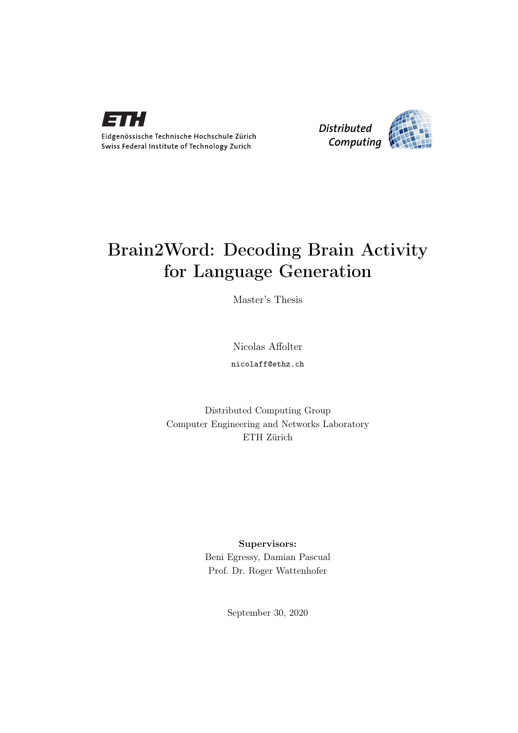

Eidgenössische Technische Hochschule Zürich Swiss Federal Institute of Technology Zurich



## Brain2Word: Decoding Brain Activity for Language Generation

Master's Thesis

Nicolas Affolter

nicolaff@ethz.ch

Distributed Computing Group Computer Engineering and Networks Laboratory ETH Zürich

Supervisors:

Beni Egressy, Damian Pascual Prof. Dr. Roger Wattenhofer

September 30, 2020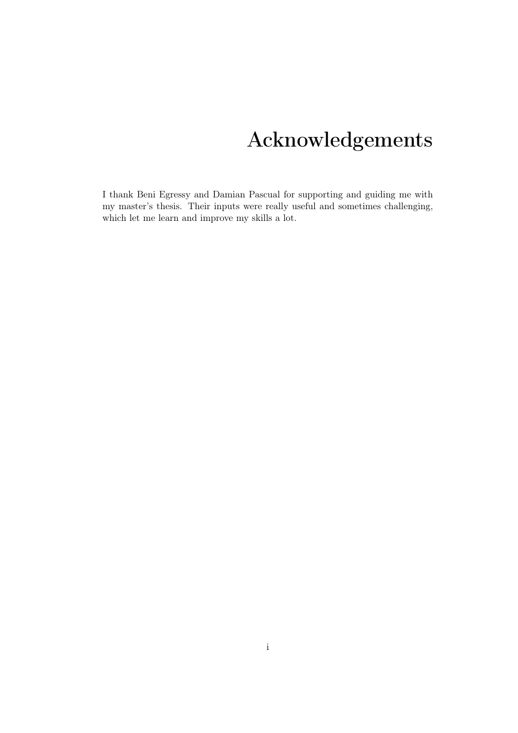# Acknowledgements

<span id="page-1-0"></span>I thank Beni Egressy and Damian Pascual for supporting and guiding me with my master's thesis. Their inputs were really useful and sometimes challenging, which let me learn and improve my skills a lot.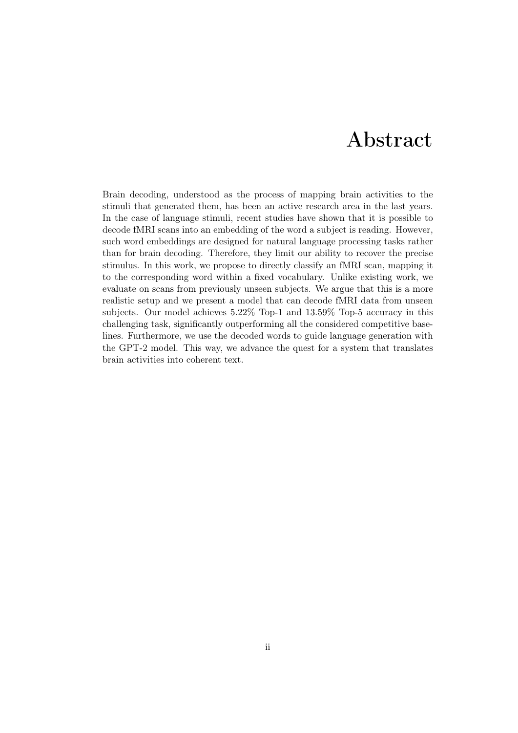## Abstract

<span id="page-2-0"></span>Brain decoding, understood as the process of mapping brain activities to the stimuli that generated them, has been an active research area in the last years. In the case of language stimuli, recent studies have shown that it is possible to decode fMRI scans into an embedding of the word a subject is reading. However, such word embeddings are designed for natural language processing tasks rather than for brain decoding. Therefore, they limit our ability to recover the precise stimulus. In this work, we propose to directly classify an fMRI scan, mapping it to the corresponding word within a fixed vocabulary. Unlike existing work, we evaluate on scans from previously unseen subjects. We argue that this is a more realistic setup and we present a model that can decode fMRI data from unseen subjects. Our model achieves 5*.*22% Top-1 and 13*.*59% Top-5 accuracy in this challenging task, significantly outperforming all the considered competitive baselines. Furthermore, we use the decoded words to guide language generation with the GPT-2 model. This way, we advance the quest for a system that translates brain activities into coherent text.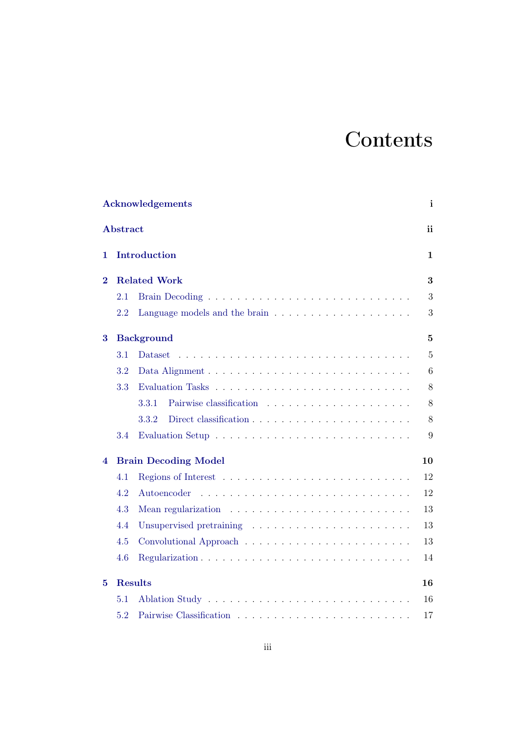# **Contents**

|          |                 | Acknowledgements                                                            | i               |
|----------|-----------------|-----------------------------------------------------------------------------|-----------------|
|          | <b>Abstract</b> |                                                                             | ii              |
| 1        |                 | <b>Introduction</b>                                                         | 1               |
| $\bf{2}$ |                 | <b>Related Work</b>                                                         | 3               |
|          | 2.1             |                                                                             | 3               |
|          | 2.2             |                                                                             | 3               |
| 3        |                 | <b>Background</b>                                                           | $\overline{5}$  |
|          | 3.1             | <b>Dataset</b>                                                              | $\overline{5}$  |
|          | $3.2\,$         |                                                                             | $6\phantom{.}6$ |
|          | 3.3             |                                                                             | 8               |
|          |                 | 3.3.1                                                                       | 8               |
|          |                 | 3.3.2                                                                       | 8               |
|          | 3.4             |                                                                             | 9               |
| 4        |                 | <b>Brain Decoding Model</b>                                                 | 10              |
|          | 4.1             |                                                                             | 12              |
|          | 4.2             | Autoencoder                                                                 | 12              |
|          | 4.3             | Mean regularization $\dots \dots \dots \dots \dots \dots \dots \dots \dots$ | 13              |
|          | 4.4             |                                                                             | 13              |
|          | 4.5             |                                                                             | 13              |
|          | 4.6             |                                                                             | 14              |
| 5        |                 | <b>Results</b>                                                              | 16              |
|          | 5.1             |                                                                             | 16              |
|          | 5.2             |                                                                             | 17              |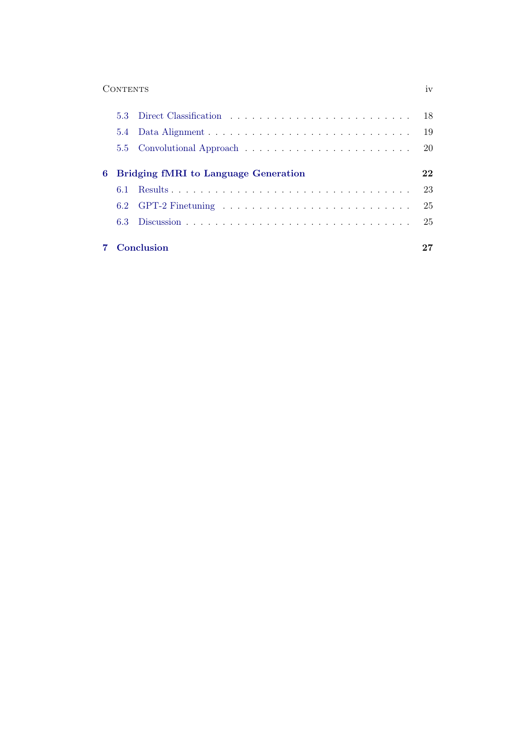#### Contents iv

|                                        |     | 7 Conclusion | 27  |
|----------------------------------------|-----|--------------|-----|
|                                        |     |              |     |
|                                        |     |              |     |
|                                        | 6.1 |              | -23 |
| 6 Bridging fMRI to Language Generation |     |              |     |
|                                        |     |              |     |
|                                        |     |              |     |
|                                        |     |              |     |
|                                        |     |              |     |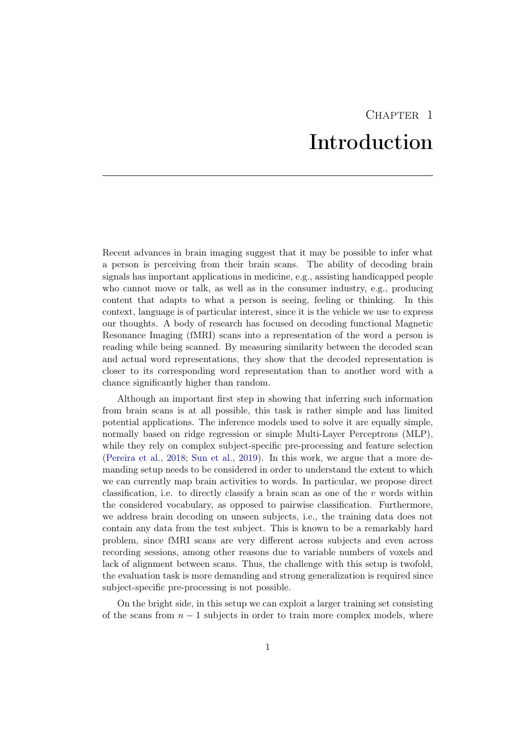## CHAPTER<sub>1</sub> Introduction

<span id="page-5-0"></span>Recent advances in brain imaging suggest that it may be possible to infer what a person is perceiving from their brain scans. The ability of decoding brain signals has important applications in medicine, e.g., assisting handicapped people who cannot move or talk, as well as in the consumer industry, e.g., producing content that adapts to what a person is seeing, feeling or thinking. In this context, language is of particular interest, since it is the vehicle we use to express our thoughts. A body of research has focused on decoding functional Magnetic Resonance Imaging (fMRI) scans into a representation of the word a person is reading while being scanned. By measuring similarity between the decoded scan and actual word representations, they show that the decoded representation is closer to its corresponding word representation than to another word with a chance significantly higher than random.

Although an important first step in showing that inferring such information from brain scans is at all possible, this task is rather simple and has limited potential applications. The inference models used to solve it are equally simple, normally based on ridge regression or simple Multi-Layer Perceptrons (MLP), while they rely on complex subject-specific pre-processing and feature selection [\(Pereira et al.,](#page-33-0) [2018;](#page-33-0) [Sun et al.,](#page-34-0) [2019\)](#page-34-0). In this work, we argue that a more demanding setup needs to be considered in order to understand the extent to which we can currently map brain activities to words. In particular, we propose direct classification, i.e. to directly classify a brain scan as one of the *v* words within the considered vocabulary, as opposed to pairwise classification. Furthermore, we address brain decoding on unseen subjects, i.e., the training data does not contain any data from the test subject. This is known to be a remarkably hard problem, since fMRI scans are very different across subjects and even across recording sessions, among other reasons due to variable numbers of voxels and lack of alignment between scans. Thus, the challenge with this setup is twofold, the evaluation task is more demanding and strong generalization is required since subject-specific pre-processing is not possible.

On the bright side, in this setup we can exploit a larger training set consisting of the scans from  $n-1$  subjects in order to train more complex models, where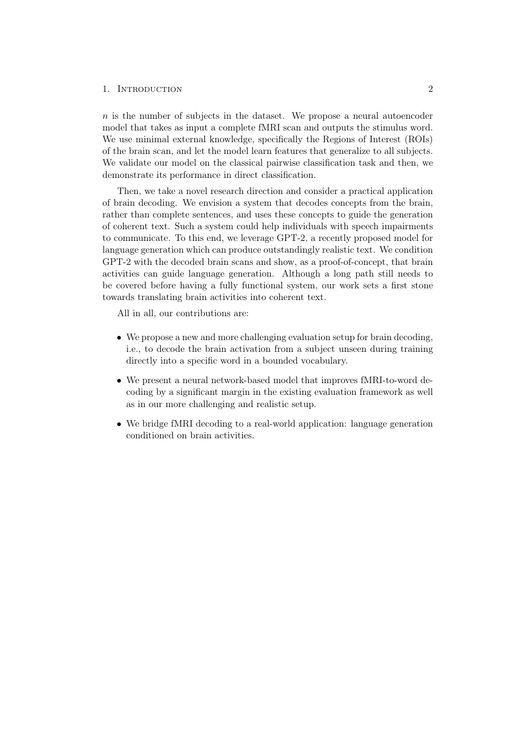#### 1. INTRODUCTION 2

*n* is the number of subjects in the dataset. We propose a neural autoencoder model that takes as input a complete fMRI scan and outputs the stimulus word. We use minimal external knowledge, specifically the Regions of Interest (ROIs) of the brain scan, and let the model learn features that generalize to all subjects. We validate our model on the classical pairwise classification task and then, we demonstrate its performance in direct classification.

Then, we take a novel research direction and consider a practical application of brain decoding. We envision a system that decodes concepts from the brain, rather than complete sentences, and uses these concepts to guide the generation of coherent text. Such a system could help individuals with speech impairments to communicate. To this end, we leverage GPT-2, a recently proposed model for language generation which can produce outstandingly realistic text. We condition GPT-2 with the decoded brain scans and show, as a proof-of-concept, that brain activities can guide language generation. Although a long path still needs to be covered before having a fully functional system, our work sets a first stone towards translating brain activities into coherent text.

All in all, our contributions are:

- *•* We propose a new and more challenging evaluation setup for brain decoding, i.e., to decode the brain activation from a subject unseen during training directly into a specific word in a bounded vocabulary.
- We present a neural network-based model that improves fMRI-to-word decoding by a significant margin in the existing evaluation framework as well as in our more challenging and realistic setup.
- We bridge fMRI decoding to a real-world application: language generation conditioned on brain activities.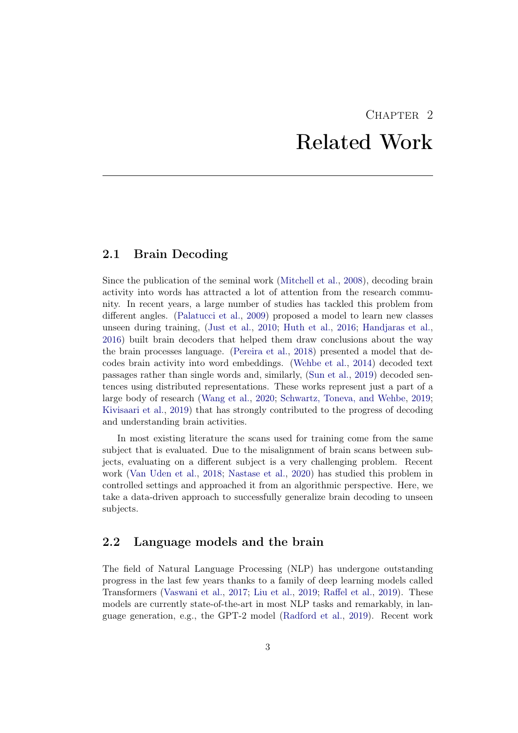## CHAPTER<sub>2</sub> Related Work

## <span id="page-7-1"></span><span id="page-7-0"></span>2.1 Brain Decoding

Since the publication of the seminal work [\(Mitchell et al.,](#page-33-1) [2008\)](#page-33-1), decoding brain activity into words has attracted a lot of attention from the research community. In recent years, a large number of studies has tackled this problem from different angles. [\(Palatucci et al.,](#page-33-2) [2009\)](#page-33-2) proposed a model to learn new classes unseen during training, [\(Just et al.,](#page-32-0) [2010;](#page-32-0) [Huth et al.,](#page-32-1) [2016;](#page-32-1) [Handjaras et al.,](#page-32-2) [2016\)](#page-32-2) built brain decoders that helped them draw conclusions about the way the brain processes language. [\(Pereira et al.,](#page-33-0) [2018\)](#page-33-0) presented a model that decodes brain activity into word embeddings. [\(Wehbe et al.,](#page-34-1) [2014\)](#page-34-1) decoded text passages rather than single words and, similarly, [\(Sun et al.,](#page-34-0) [2019\)](#page-34-0) decoded sentences using distributed representations. These works represent just a part of a large body of research [\(Wang et al.,](#page-34-2) [2020;](#page-34-2) [Schwartz, Toneva, and Wehbe,](#page-33-3) [2019;](#page-33-3) [Kivisaari et al.,](#page-33-4) [2019\)](#page-33-4) that has strongly contributed to the progress of decoding and understanding brain activities.

In most existing literature the scans used for training come from the same subject that is evaluated. Due to the misalignment of brain scans between subjects, evaluating on a different subject is a very challenging problem. Recent work [\(Van Uden et al.,](#page-34-3) [2018;](#page-34-3) [Nastase et al.,](#page-33-5) [2020\)](#page-33-5) has studied this problem in controlled settings and approached it from an algorithmic perspective. Here, we take a data-driven approach to successfully generalize brain decoding to unseen subjects.

#### <span id="page-7-2"></span>2.2 Language models and the brain

The field of Natural Language Processing (NLP) has undergone outstanding progress in the last few years thanks to a family of deep learning models called Transformers [\(Vaswani et al.,](#page-34-4) [2017;](#page-34-4) [Liu et al.,](#page-33-6) [2019;](#page-33-6) Raff[el et al.,](#page-33-7) [2019\)](#page-33-7). These models are currently state-of-the-art in most NLP tasks and remarkably, in language generation, e.g., the GPT-2 model [\(Radford et al.,](#page-33-8) [2019\)](#page-33-8). Recent work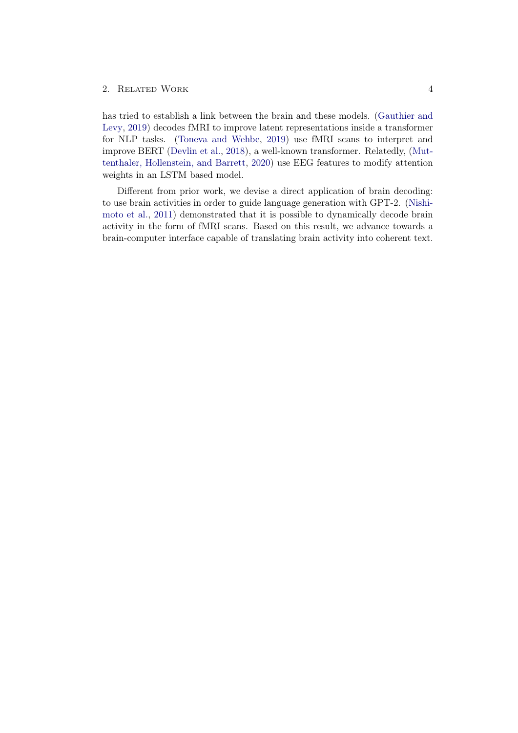#### 2. RELATED WORK 4

has tried to establish a link between the brain and these models. [\(Gauthier and](#page-32-3) [Levy,](#page-32-3) [2019\)](#page-32-3) decodes fMRI to improve latent representations inside a transformer for NLP tasks. [\(Toneva and Wehbe,](#page-34-5) [2019\)](#page-34-5) use fMRI scans to interpret and improve BERT [\(Devlin et al.,](#page-32-4) [2018\)](#page-32-4), a well-known transformer. Relatedly, [\(Mut](#page-33-9)[tenthaler, Hollenstein, and Barrett,](#page-33-9) [2020\)](#page-33-9) use EEG features to modify attention weights in an LSTM based model.

Different from prior work, we devise a direct application of brain decoding: to use brain activities in order to guide language generation with GPT-2. [\(Nishi](#page-33-10)[moto et al.,](#page-33-10) [2011\)](#page-33-10) demonstrated that it is possible to dynamically decode brain activity in the form of fMRI scans. Based on this result, we advance towards a brain-computer interface capable of translating brain activity into coherent text.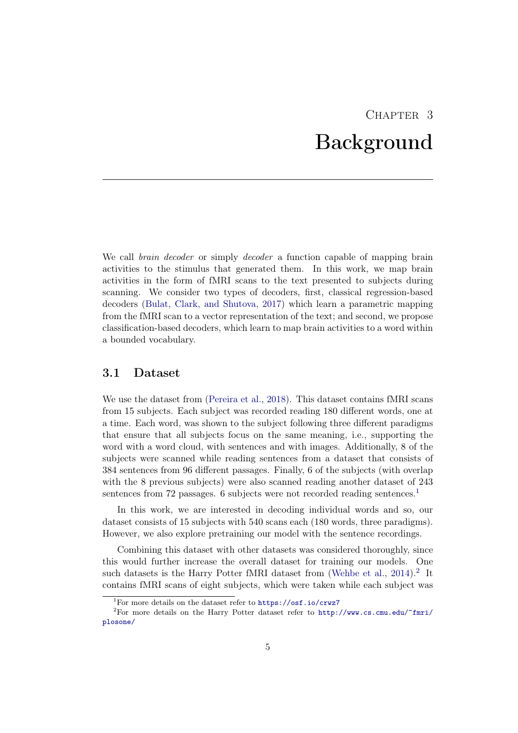## CHAPTER<sub>3</sub> Background

<span id="page-9-0"></span>We call *brain decoder* or simply *decoder* a function capable of mapping brain activities to the stimulus that generated them. In this work, we map brain activities in the form of fMRI scans to the text presented to subjects during scanning. We consider two types of decoders, first, classical regression-based decoders [\(Bulat, Clark, and Shutova,](#page-32-5) [2017\)](#page-32-5) which learn a parametric mapping from the fMRI scan to a vector representation of the text; and second, we propose classification-based decoders, which learn to map brain activities to a word within a bounded vocabulary.

#### <span id="page-9-1"></span>3.1 Dataset

We use the dataset from [\(Pereira et al.,](#page-33-0) [2018\)](#page-33-0). This dataset contains fMRI scans from 15 subjects. Each subject was recorded reading 180 different words, one at a time. Each word, was shown to the subject following three different paradigms that ensure that all subjects focus on the same meaning, i.e., supporting the word with a word cloud, with sentences and with images. Additionally, 8 of the subjects were scanned while reading sentences from a dataset that consists of 384 sentences from 96 different passages. Finally, 6 of the subjects (with overlap with the 8 previous subjects) were also scanned reading another dataset of 243 sentences from 72 passages. 6 subjects were not recorded reading sentences.<sup>[1](#page-9-2)</sup>

In this work, we are interested in decoding individual words and so, our dataset consists of 15 subjects with 540 scans each (180 words, three paradigms). However, we also explore pretraining our model with the sentence recordings.

Combining this dataset with other datasets was considered thoroughly, since this would further increase the overall dataset for training our models. One such datasets is the Harry Potter fMRI dataset from [\(Wehbe et al.,](#page-34-1)  $2014$  $2014$ ).<sup>2</sup> It contains fMRI scans of eight subjects, which were taken while each subject was

<span id="page-9-3"></span><span id="page-9-2"></span><sup>&</sup>lt;sup>1</sup>For more details on the dataset refer to  $\frac{h}{h}$ thes://osf.io/crwz7

<sup>&</sup>lt;sup>2</sup>For more details on the Harry Potter dataset refer to [http://www.cs.cmu.edu/~fmri/](http://www.cs.cmu.edu/~fmri/plosone/) [plosone/](http://www.cs.cmu.edu/~fmri/plosone/)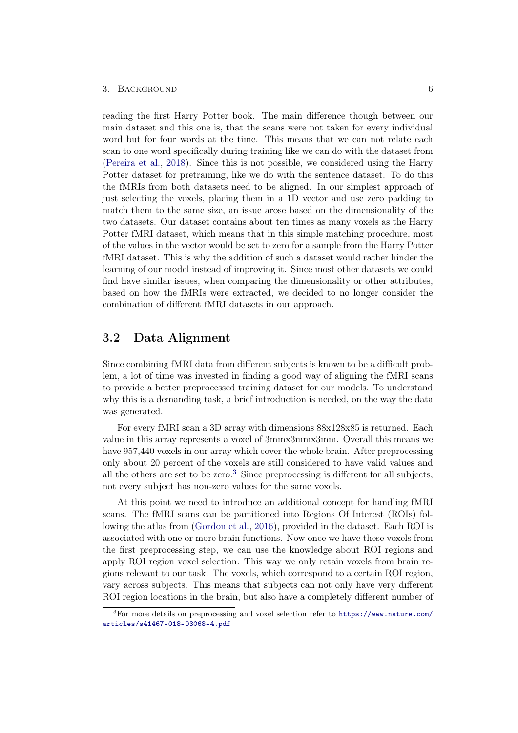reading the first Harry Potter book. The main difference though between our main dataset and this one is, that the scans were not taken for every individual word but for four words at the time. This means that we can not relate each scan to one word specifically during training like we can do with the dataset from [\(Pereira et al.,](#page-33-0) [2018\)](#page-33-0). Since this is not possible, we considered using the Harry Potter dataset for pretraining, like we do with the sentence dataset. To do this the fMRIs from both datasets need to be aligned. In our simplest approach of just selecting the voxels, placing them in a 1D vector and use zero padding to match them to the same size, an issue arose based on the dimensionality of the two datasets. Our dataset contains about ten times as many voxels as the Harry Potter fMRI dataset, which means that in this simple matching procedure, most of the values in the vector would be set to zero for a sample from the Harry Potter fMRI dataset. This is why the addition of such a dataset would rather hinder the learning of our model instead of improving it. Since most other datasets we could find have similar issues, when comparing the dimensionality or other attributes, based on how the fMRIs were extracted, we decided to no longer consider the combination of different fMRI datasets in our approach.

## <span id="page-10-0"></span>3.2 Data Alignment

Since combining fMRI data from different subjects is known to be a difficult problem, a lot of time was invested in finding a good way of aligning the fMRI scans to provide a better preprocessed training dataset for our models. To understand why this is a demanding task, a brief introduction is needed, on the way the data was generated.

For every fMRI scan a 3D array with dimensions 88x128x85 is returned. Each value in this array represents a voxel of 3mmx3mmx3mm. Overall this means we have 957,440 voxels in our array which cover the whole brain. After preprocessing only about 20 percent of the voxels are still considered to have valid values and all the others are set to be zero.<sup>[3](#page-10-1)</sup> Since preprocessing is different for all subjects, not every subject has non-zero values for the same voxels.

At this point we need to introduce an additional concept for handling fMRI scans. The fMRI scans can be partitioned into Regions Of Interest (ROIs) following the atlas from [\(Gordon et al.,](#page-32-6) [2016\)](#page-32-6), provided in the dataset. Each ROI is associated with one or more brain functions. Now once we have these voxels from the first preprocessing step, we can use the knowledge about ROI regions and apply ROI region voxel selection. This way we only retain voxels from brain regions relevant to our task. The voxels, which correspond to a certain ROI region, vary across subjects. This means that subjects can not only have very different ROI region locations in the brain, but also have a completely different number of

<span id="page-10-1"></span> ${}^{3}$ For more details on preprocessing and voxel selection refer to [https://www.nature.com/](https://www.nature.com/articles/s41467-018-03068-4.pdf) [articles/s41467-018-03068-4.pdf](https://www.nature.com/articles/s41467-018-03068-4.pdf)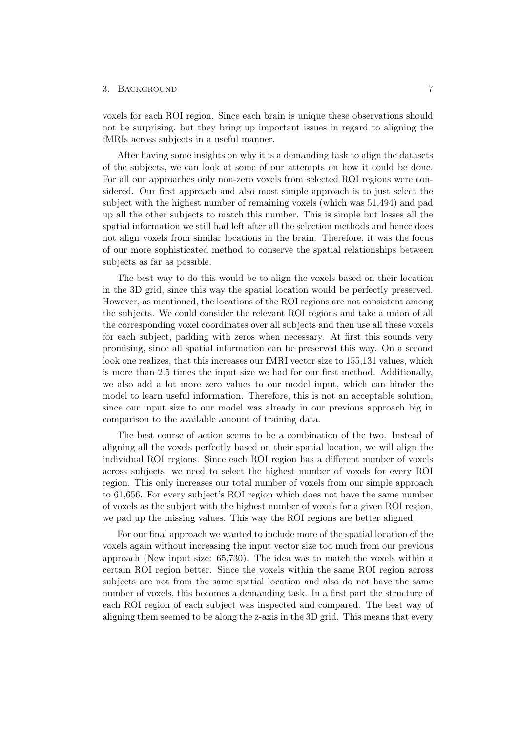voxels for each ROI region. Since each brain is unique these observations should not be surprising, but they bring up important issues in regard to aligning the fMRIs across subjects in a useful manner.

After having some insights on why it is a demanding task to align the datasets of the subjects, we can look at some of our attempts on how it could be done. For all our approaches only non-zero voxels from selected ROI regions were considered. Our first approach and also most simple approach is to just select the subject with the highest number of remaining voxels (which was 51,494) and pad up all the other subjects to match this number. This is simple but losses all the spatial information we still had left after all the selection methods and hence does not align voxels from similar locations in the brain. Therefore, it was the focus of our more sophisticated method to conserve the spatial relationships between subjects as far as possible.

The best way to do this would be to align the voxels based on their location in the 3D grid, since this way the spatial location would be perfectly preserved. However, as mentioned, the locations of the ROI regions are not consistent among the subjects. We could consider the relevant ROI regions and take a union of all the corresponding voxel coordinates over all subjects and then use all these voxels for each subject, padding with zeros when necessary. At first this sounds very promising, since all spatial information can be preserved this way. On a second look one realizes, that this increases our fMRI vector size to 155,131 values, which is more than 2.5 times the input size we had for our first method. Additionally, we also add a lot more zero values to our model input, which can hinder the model to learn useful information. Therefore, this is not an acceptable solution, since our input size to our model was already in our previous approach big in comparison to the available amount of training data.

The best course of action seems to be a combination of the two. Instead of aligning all the voxels perfectly based on their spatial location, we will align the individual ROI regions. Since each ROI region has a different number of voxels across subjects, we need to select the highest number of voxels for every ROI region. This only increases our total number of voxels from our simple approach to 61,656. For every subject's ROI region which does not have the same number of voxels as the subject with the highest number of voxels for a given ROI region, we pad up the missing values. This way the ROI regions are better aligned.

For our final approach we wanted to include more of the spatial location of the voxels again without increasing the input vector size too much from our previous approach (New input size: 65,730). The idea was to match the voxels within a certain ROI region better. Since the voxels within the same ROI region across subjects are not from the same spatial location and also do not have the same number of voxels, this becomes a demanding task. In a first part the structure of each ROI region of each subject was inspected and compared. The best way of aligning them seemed to be along the z-axis in the 3D grid. This means that every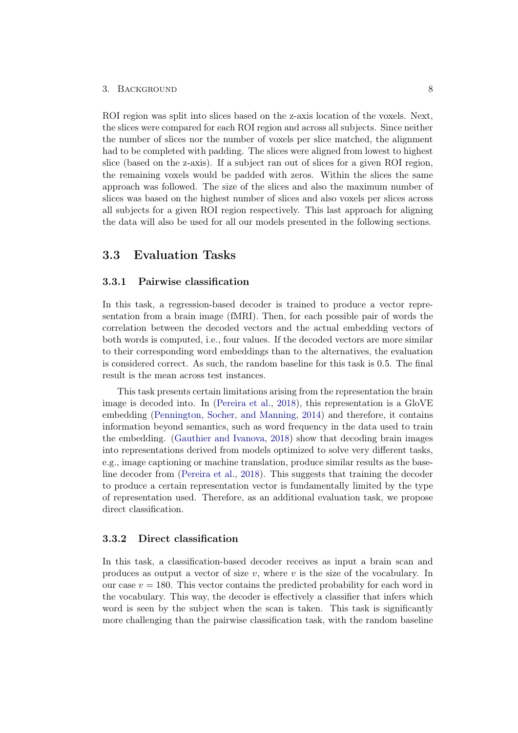ROI region was split into slices based on the z-axis location of the voxels. Next, the slices were compared for each ROI region and across all subjects. Since neither the number of slices nor the number of voxels per slice matched, the alignment had to be completed with padding. The slices were aligned from lowest to highest slice (based on the z-axis). If a subject ran out of slices for a given ROI region, the remaining voxels would be padded with zeros. Within the slices the same approach was followed. The size of the slices and also the maximum number of slices was based on the highest number of slices and also voxels per slices across all subjects for a given ROI region respectively. This last approach for aligning the data will also be used for all our models presented in the following sections.

### <span id="page-12-0"></span>3.3 Evaluation Tasks

#### <span id="page-12-1"></span>3.3.1 Pairwise classification

In this task, a regression-based decoder is trained to produce a vector representation from a brain image (fMRI). Then, for each possible pair of words the correlation between the decoded vectors and the actual embedding vectors of both words is computed, i.e., four values. If the decoded vectors are more similar to their corresponding word embeddings than to the alternatives, the evaluation is considered correct. As such, the random baseline for this task is 0*.*5. The final result is the mean across test instances.

This task presents certain limitations arising from the representation the brain image is decoded into. In [\(Pereira et al.,](#page-33-0) [2018\)](#page-33-0), this representation is a GloVE embedding [\(Pennington, Socher, and Manning,](#page-33-11) [2014\)](#page-33-11) and therefore, it contains information beyond semantics, such as word frequency in the data used to train the embedding. [\(Gauthier and Ivanova,](#page-32-7) [2018\)](#page-32-7) show that decoding brain images into representations derived from models optimized to solve very different tasks, e.g., image captioning or machine translation, produce similar results as the baseline decoder from [\(Pereira et al.,](#page-33-0) [2018\)](#page-33-0). This suggests that training the decoder to produce a certain representation vector is fundamentally limited by the type of representation used. Therefore, as an additional evaluation task, we propose direct classification.

#### <span id="page-12-2"></span>3.3.2 Direct classification

In this task, a classification-based decoder receives as input a brain scan and produces as output a vector of size *v*, where *v* is the size of the vocabulary. In our case  $v = 180$ . This vector contains the predicted probability for each word in the vocabulary. This way, the decoder is effectively a classifier that infers which word is seen by the subject when the scan is taken. This task is significantly more challenging than the pairwise classification task, with the random baseline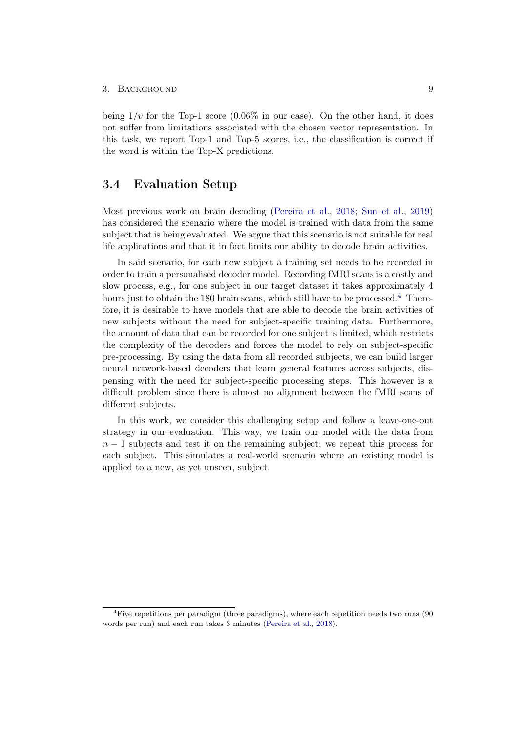being  $1/v$  for the Top-1 score  $(0.06\%$  in our case). On the other hand, it does not suffer from limitations associated with the chosen vector representation. In this task, we report Top-1 and Top-5 scores, i.e., the classification is correct if the word is within the Top-X predictions.

#### <span id="page-13-0"></span>3.4 Evaluation Setup

Most previous work on brain decoding [\(Pereira et al.,](#page-33-0) [2018;](#page-33-0) [Sun et al.,](#page-34-0) [2019\)](#page-34-0) has considered the scenario where the model is trained with data from the same subject that is being evaluated. We argue that this scenario is not suitable for real life applications and that it in fact limits our ability to decode brain activities.

In said scenario, for each new subject a training set needs to be recorded in order to train a personalised decoder model. Recording fMRI scans is a costly and slow process, e.g., for one subject in our target dataset it takes approximately 4 hours just to obtain the 180 brain scans, which still have to be processed.<sup>[4](#page-13-1)</sup> Therefore, it is desirable to have models that are able to decode the brain activities of new subjects without the need for subject-specific training data. Furthermore, the amount of data that can be recorded for one subject is limited, which restricts the complexity of the decoders and forces the model to rely on subject-specific pre-processing. By using the data from all recorded subjects, we can build larger neural network-based decoders that learn general features across subjects, dispensing with the need for subject-specific processing steps. This however is a difficult problem since there is almost no alignment between the fMRI scans of different subjects.

In this work, we consider this challenging setup and follow a leave-one-out strategy in our evaluation. This way, we train our model with the data from  $n-1$  subjects and test it on the remaining subject; we repeat this process for each subject. This simulates a real-world scenario where an existing model is applied to a new, as yet unseen, subject.

<span id="page-13-1"></span><sup>&</sup>lt;sup>4</sup>Five repetitions per paradigm (three paradigms), where each repetition needs two runs (90 words per run) and each run takes 8 minutes [\(Pereira et al.,](#page-33-0) [2018\)](#page-33-0).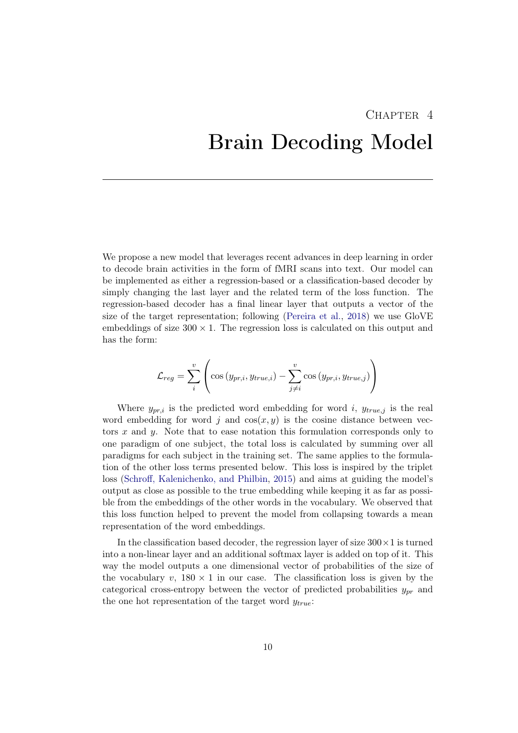# <span id="page-14-0"></span>CHAPTER<sub>4</sub> Brain Decoding Model

We propose a new model that leverages recent advances in deep learning in order to decode brain activities in the form of fMRI scans into text. Our model can be implemented as either a regression-based or a classification-based decoder by simply changing the last layer and the related term of the loss function. The regression-based decoder has a final linear layer that outputs a vector of the size of the target representation; following [\(Pereira et al.,](#page-33-0) [2018\)](#page-33-0) we use GloVE embeddings of size  $300 \times 1$ . The regression loss is calculated on this output and has the form:

$$
\mathcal{L}_{reg} = \sum_{i}^{v} \left( \cos \left( y_{pr,i}, y_{true,i} \right) - \sum_{j \neq i}^{v} \cos \left( y_{pr,i}, y_{true,j} \right) \right)
$$

Where  $y_{pr,i}$  is the predicted word embedding for word *i*,  $y_{true,j}$  is the real word embedding for word  $j$  and  $cos(x, y)$  is the cosine distance between vectors *x* and *y*. Note that to ease notation this formulation corresponds only to one paradigm of one subject, the total loss is calculated by summing over all paradigms for each subject in the training set. The same applies to the formulation of the other loss terms presented below. This loss is inspired by the triplet loss (Schroff[, Kalenichenko, and Philbin,](#page-33-12) [2015\)](#page-33-12) and aims at guiding the model's output as close as possible to the true embedding while keeping it as far as possible from the embeddings of the other words in the vocabulary. We observed that this loss function helped to prevent the model from collapsing towards a mean representation of the word embeddings.

In the classification based decoder, the regression layer of size  $300 \times 1$  is turned into a non-linear layer and an additional softmax layer is added on top of it. This way the model outputs a one dimensional vector of probabilities of the size of the vocabulary  $v$ ,  $180 \times 1$  in our case. The classification loss is given by the categorical cross-entropy between the vector of predicted probabilities *ypr* and the one hot representation of the target word *ytrue*: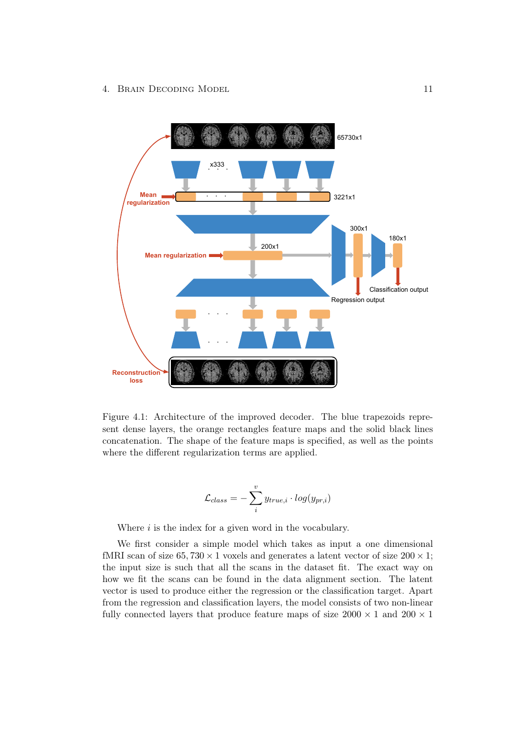

<span id="page-15-0"></span>Figure 4.1: Architecture of the improved decoder. The blue trapezoids represent dense layers, the orange rectangles feature maps and the solid black lines concatenation. The shape of the feature maps is specified, as well as the points where the different regularization terms are applied.

$$
\mathcal{L}_{class} = -\sum_{i}^{v} y_{true,i} \cdot log(y_{pr,i})
$$

Where *i* is the index for a given word in the vocabulary.

We first consider a simple model which takes as input a one dimensional fMRI scan of size  $65,730 \times 1$  voxels and generates a latent vector of size  $200 \times 1$ ; the input size is such that all the scans in the dataset fit. The exact way on how we fit the scans can be found in the data alignment section. The latent vector is used to produce either the regression or the classification target. Apart from the regression and classification layers, the model consists of two non-linear fully connected layers that produce feature maps of size  $2000 \times 1$  and  $200 \times 1$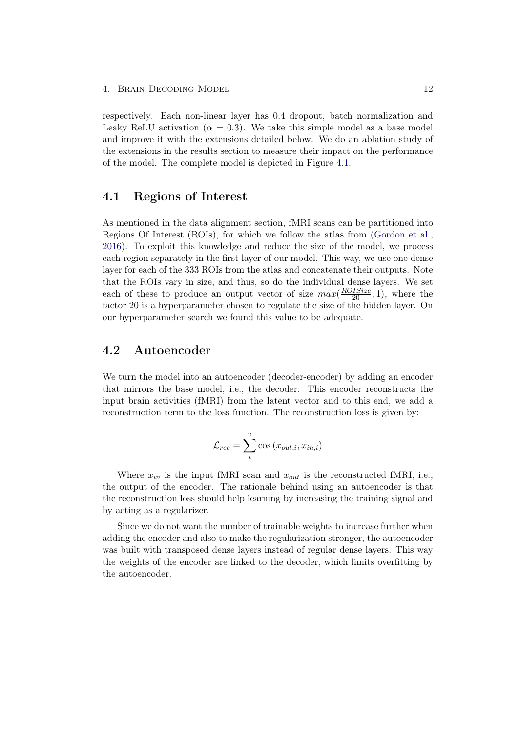4. BRAIN DECODING MODEL 12

respectively. Each non-linear layer has 0*.*4 dropout, batch normalization and Leaky ReLU activation ( $\alpha = 0.3$ ). We take this simple model as a base model and improve it with the extensions detailed below. We do an ablation study of the extensions in the results section to measure their impact on the performance of the model. The complete model is depicted in Figure [4.1.](#page-15-0)

#### <span id="page-16-0"></span>4.1 Regions of Interest

As mentioned in the data alignment section, fMRI scans can be partitioned into Regions Of Interest (ROIs), for which we follow the atlas from [\(Gordon et al.,](#page-32-6) [2016\)](#page-32-6). To exploit this knowledge and reduce the size of the model, we process each region separately in the first layer of our model. This way, we use one dense layer for each of the 333 ROIs from the atlas and concatenate their outputs. Note that the ROIs vary in size, and thus, so do the individual dense layers. We set each of these to produce an output vector of size  $max(\frac{ROISize}{20}, 1)$ , where the factor 20 is a hyperparameter chosen to regulate the size of the hidden layer. On our hyperparameter search we found this value to be adequate.

## <span id="page-16-1"></span>4.2 Autoencoder

We turn the model into an autoencoder (decoder-encoder) by adding an encoder that mirrors the base model, i.e., the decoder. This encoder reconstructs the input brain activities (fMRI) from the latent vector and to this end, we add a reconstruction term to the loss function. The reconstruction loss is given by:

$$
\mathcal{L}_{rec} = \sum_{i}^{v} \cos(x_{out,i}, x_{in,i})
$$

Where  $x_{in}$  is the input fMRI scan and  $x_{out}$  is the reconstructed fMRI, i.e., the output of the encoder. The rationale behind using an autoencoder is that the reconstruction loss should help learning by increasing the training signal and by acting as a regularizer.

Since we do not want the number of trainable weights to increase further when adding the encoder and also to make the regularization stronger, the autoencoder was built with transposed dense layers instead of regular dense layers. This way the weights of the encoder are linked to the decoder, which limits overfitting by the autoencoder.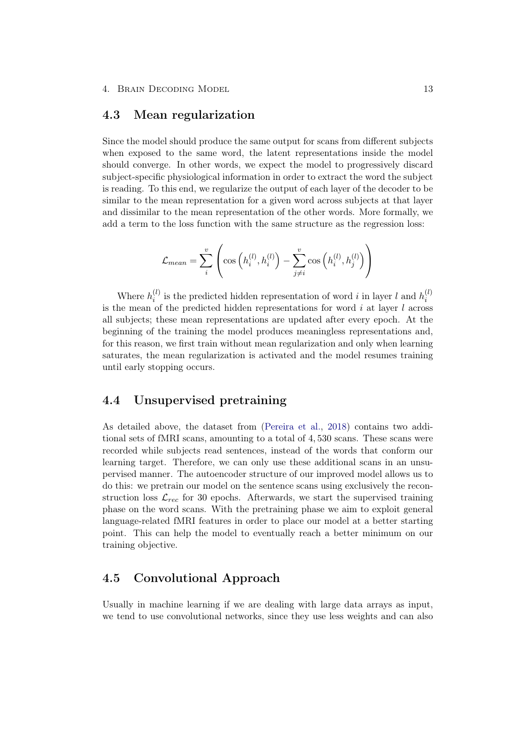#### <span id="page-17-0"></span>4.3 Mean regularization

Since the model should produce the same output for scans from different subjects when exposed to the same word, the latent representations inside the model should converge. In other words, we expect the model to progressively discard subject-specific physiological information in order to extract the word the subject is reading. To this end, we regularize the output of each layer of the decoder to be similar to the mean representation for a given word across subjects at that layer and dissimilar to the mean representation of the other words. More formally, we add a term to the loss function with the same structure as the regression loss:

$$
\mathcal{L}_{mean} = \sum_{i}^{v} \left( \cos \left( h_i^{(l)}, h_i^{(l)} \right) - \sum_{j \neq i}^{v} \cos \left( h_i^{(l)}, h_j^{(l)} \right) \right)
$$

Where  $h_i^{(l)}$  is the predicted hidden representation of word *i* in layer *l* and  $h_i^{(l)}$ is the mean of the predicted hidden representations for word *i* at layer *l* across all subjects; these mean representations are updated after every epoch. At the beginning of the training the model produces meaningless representations and, for this reason, we first train without mean regularization and only when learning saturates, the mean regularization is activated and the model resumes training until early stopping occurs.

## <span id="page-17-1"></span>4.4 Unsupervised pretraining

As detailed above, the dataset from [\(Pereira et al.,](#page-33-0) [2018\)](#page-33-0) contains two additional sets of fMRI scans, amounting to a total of 4*,* 530 scans. These scans were recorded while subjects read sentences, instead of the words that conform our learning target. Therefore, we can only use these additional scans in an unsupervised manner. The autoencoder structure of our improved model allows us to do this: we pretrain our model on the sentence scans using exclusively the reconstruction loss  $\mathcal{L}_{rec}$  for 30 epochs. Afterwards, we start the supervised training phase on the word scans. With the pretraining phase we aim to exploit general language-related fMRI features in order to place our model at a better starting point. This can help the model to eventually reach a better minimum on our training objective.

## <span id="page-17-2"></span>4.5 Convolutional Approach

Usually in machine learning if we are dealing with large data arrays as input, we tend to use convolutional networks, since they use less weights and can also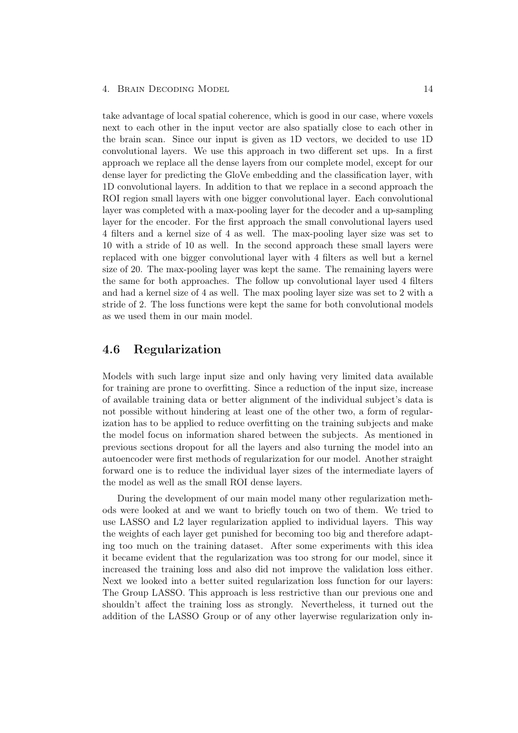#### 4. BRAIN DECODING MODEL 14

take advantage of local spatial coherence, which is good in our case, where voxels next to each other in the input vector are also spatially close to each other in the brain scan. Since our input is given as 1D vectors, we decided to use 1D convolutional layers. We use this approach in two different set ups. In a first approach we replace all the dense layers from our complete model, except for our dense layer for predicting the GloVe embedding and the classification layer, with 1D convolutional layers. In addition to that we replace in a second approach the ROI region small layers with one bigger convolutional layer. Each convolutional layer was completed with a max-pooling layer for the decoder and a up-sampling layer for the encoder. For the first approach the small convolutional layers used 4 filters and a kernel size of 4 as well. The max-pooling layer size was set to 10 with a stride of 10 as well. In the second approach these small layers were replaced with one bigger convolutional layer with 4 filters as well but a kernel size of 20. The max-pooling layer was kept the same. The remaining layers were the same for both approaches. The follow up convolutional layer used 4 filters and had a kernel size of 4 as well. The max pooling layer size was set to 2 with a stride of 2. The loss functions were kept the same for both convolutional models as we used them in our main model.

## <span id="page-18-0"></span>4.6 Regularization

Models with such large input size and only having very limited data available for training are prone to overfitting. Since a reduction of the input size, increase of available training data or better alignment of the individual subject's data is not possible without hindering at least one of the other two, a form of regularization has to be applied to reduce overfitting on the training subjects and make the model focus on information shared between the subjects. As mentioned in previous sections dropout for all the layers and also turning the model into an autoencoder were first methods of regularization for our model. Another straight forward one is to reduce the individual layer sizes of the intermediate layers of the model as well as the small ROI dense layers.

During the development of our main model many other regularization methods were looked at and we want to briefly touch on two of them. We tried to use LASSO and L2 layer regularization applied to individual layers. This way the weights of each layer get punished for becoming too big and therefore adapting too much on the training dataset. After some experiments with this idea it became evident that the regularization was too strong for our model, since it increased the training loss and also did not improve the validation loss either. Next we looked into a better suited regularization loss function for our layers: The Group LASSO. This approach is less restrictive than our previous one and shouldn't affect the training loss as strongly. Nevertheless, it turned out the addition of the LASSO Group or of any other layerwise regularization only in-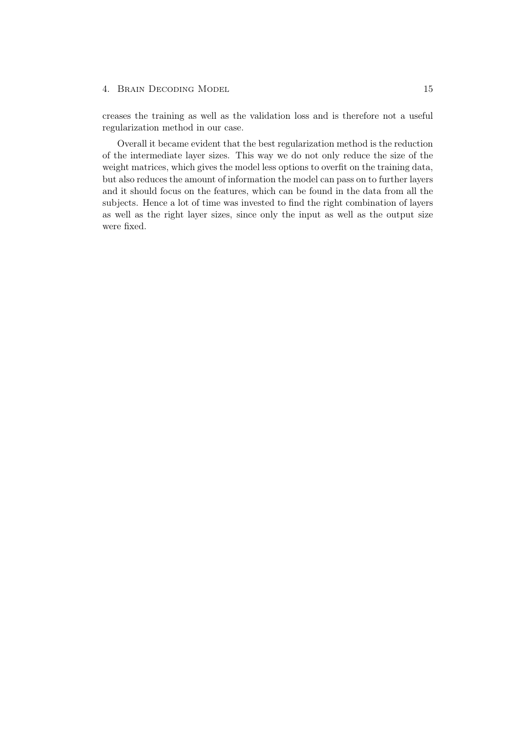#### 4. BRAIN DECODING MODEL 15

creases the training as well as the validation loss and is therefore not a useful regularization method in our case.

Overall it became evident that the best regularization method is the reduction of the intermediate layer sizes. This way we do not only reduce the size of the weight matrices, which gives the model less options to overfit on the training data, but also reduces the amount of information the model can pass on to further layers and it should focus on the features, which can be found in the data from all the subjects. Hence a lot of time was invested to find the right combination of layers as well as the right layer sizes, since only the input as well as the output size were fixed.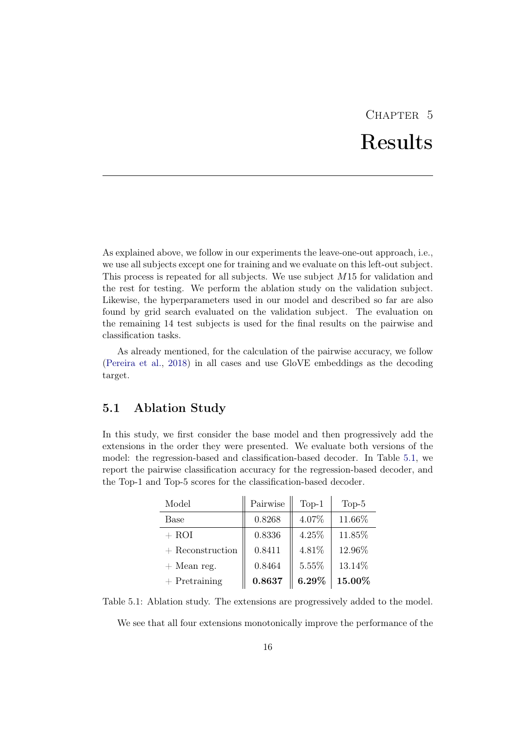# CHAPTER<sub>5</sub> Results

<span id="page-20-0"></span>As explained above, we follow in our experiments the leave-one-out approach, i.e., we use all subjects except one for training and we evaluate on this left-out subject. This process is repeated for all subjects. We use subject *M*15 for validation and the rest for testing. We perform the ablation study on the validation subject. Likewise, the hyperparameters used in our model and described so far are also found by grid search evaluated on the validation subject. The evaluation on the remaining 14 test subjects is used for the final results on the pairwise and classification tasks.

As already mentioned, for the calculation of the pairwise accuracy, we follow [\(Pereira et al.,](#page-33-0) [2018\)](#page-33-0) in all cases and use GloVE embeddings as the decoding target.

## <span id="page-20-1"></span>5.1 Ablation Study

In this study, we first consider the base model and then progressively add the extensions in the order they were presented. We evaluate both versions of the model: the regression-based and classification-based decoder. In Table [5.1,](#page-20-2) we report the pairwise classification accuracy for the regression-based decoder, and the Top-1 and Top-5 scores for the classification-based decoder.

| Model              | Pairwise | $Top-1$  | $Top-5$ |
|--------------------|----------|----------|---------|
| Base               | 0.8268   | 4.07%    | 11.66%  |
| $+$ ROI            | 0.8336   | 4.25%    | 11.85%  |
| $+$ Reconstruction | 0.8411   | 4.81%    | 12.96%  |
| $+$ Mean reg.      | 0.8464   | 5.55%    | 13.14%  |
| $+$ Pretraining    | 0.8637   | $6.29\%$ | 15.00%  |

Table 5.1: Ablation study. The extensions are progressively added to the model.

<span id="page-20-2"></span>We see that all four extensions monotonically improve the performance of the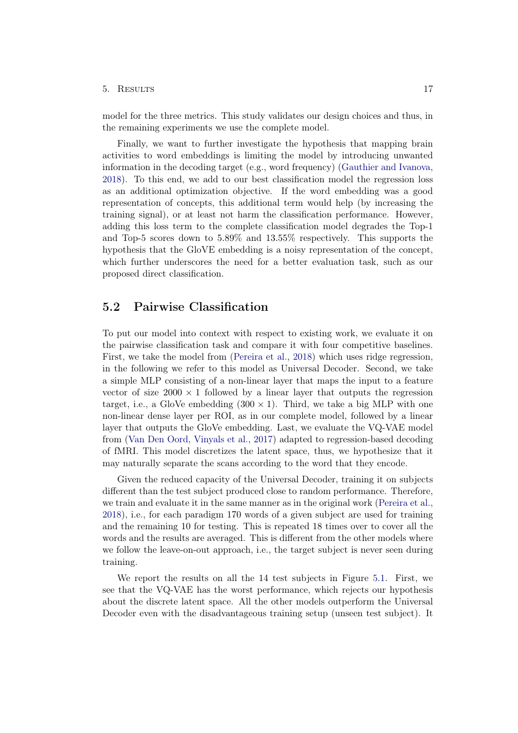#### 5. Results 17

model for the three metrics. This study validates our design choices and thus, in the remaining experiments we use the complete model.

Finally, we want to further investigate the hypothesis that mapping brain activities to word embeddings is limiting the model by introducing unwanted information in the decoding target (e.g., word frequency) [\(Gauthier and Ivanova,](#page-32-7) [2018\)](#page-32-7). To this end, we add to our best classification model the regression loss as an additional optimization objective. If the word embedding was a good representation of concepts, this additional term would help (by increasing the training signal), or at least not harm the classification performance. However, adding this loss term to the complete classification model degrades the Top-1 and Top-5 scores down to 5*.*89% and 13*.*55% respectively. This supports the hypothesis that the GloVE embedding is a noisy representation of the concept, which further underscores the need for a better evaluation task, such as our proposed direct classification.

#### <span id="page-21-0"></span>5.2 Pairwise Classification

To put our model into context with respect to existing work, we evaluate it on the pairwise classification task and compare it with four competitive baselines. First, we take the model from [\(Pereira et al.,](#page-33-0) [2018\)](#page-33-0) which uses ridge regression, in the following we refer to this model as Universal Decoder. Second, we take a simple MLP consisting of a non-linear layer that maps the input to a feature vector of size  $2000 \times 1$  followed by a linear layer that outputs the regression target, i.e., a GloVe embedding  $(300 \times 1)$ . Third, we take a big MLP with one non-linear dense layer per ROI, as in our complete model, followed by a linear layer that outputs the GloVe embedding. Last, we evaluate the VQ-VAE model from [\(Van Den Oord, Vinyals et al.,](#page-34-6) [2017\)](#page-34-6) adapted to regression-based decoding of fMRI. This model discretizes the latent space, thus, we hypothesize that it may naturally separate the scans according to the word that they encode.

Given the reduced capacity of the Universal Decoder, training it on subjects different than the test subject produced close to random performance. Therefore, we train and evaluate it in the same manner as in the original work [\(Pereira et al.,](#page-33-0) [2018\)](#page-33-0), i.e., for each paradigm 170 words of a given subject are used for training and the remaining 10 for testing. This is repeated 18 times over to cover all the words and the results are averaged. This is different from the other models where we follow the leave-on-out approach, i.e., the target subject is never seen during training.

We report the results on all the 14 test subjects in Figure [5.1.](#page-22-1) First, we see that the VQ-VAE has the worst performance, which rejects our hypothesis about the discrete latent space. All the other models outperform the Universal Decoder even with the disadvantageous training setup (unseen test subject). It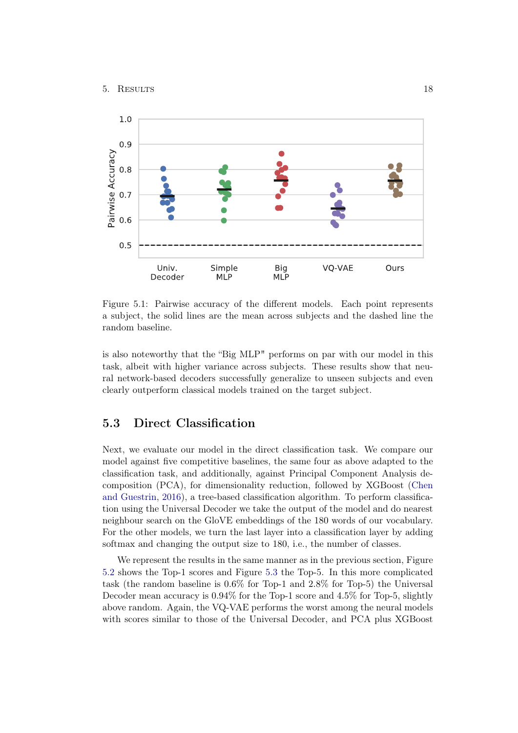

<span id="page-22-1"></span>Figure 5.1: Pairwise accuracy of the different models. Each point represents a subject, the solid lines are the mean across subjects and the dashed line the random baseline.

is also noteworthy that the "Big MLP" performs on par with our model in this task, albeit with higher variance across subjects. These results show that neural network-based decoders successfully generalize to unseen subjects and even clearly outperform classical models trained on the target subject.

## <span id="page-22-0"></span>5.3 Direct Classification

Next, we evaluate our model in the direct classification task. We compare our model against five competitive baselines, the same four as above adapted to the classification task, and additionally, against Principal Component Analysis decomposition (PCA), for dimensionality reduction, followed by XGBoost [\(Chen](#page-32-8) [and Guestrin,](#page-32-8) [2016\)](#page-32-8), a tree-based classification algorithm. To perform classification using the Universal Decoder we take the output of the model and do nearest neighbour search on the GloVE embeddings of the 180 words of our vocabulary. For the other models, we turn the last layer into a classification layer by adding softmax and changing the output size to 180, i.e., the number of classes.

We represent the results in the same manner as in the previous section, Figure [5.2](#page-23-1) shows the Top-1 scores and Figure [5.3](#page-24-1) the Top-5. In this more complicated task (the random baseline is 0*.*6% for Top-1 and 2*.*8% for Top-5) the Universal Decoder mean accuracy is 0*.*94% for the Top-1 score and 4*.*5% for Top-5, slightly above random. Again, the VQ-VAE performs the worst among the neural models with scores similar to those of the Universal Decoder, and PCA plus XGBoost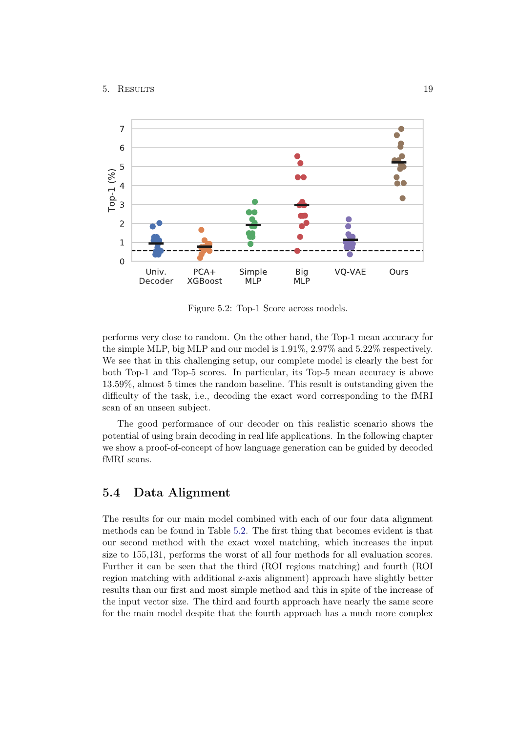

<span id="page-23-1"></span>Figure 5.2: Top-1 Score across models.

performs very close to random. On the other hand, the Top-1 mean accuracy for the simple MLP, big MLP and our model is 1*.*91%, 2*.*97% and 5*.*22% respectively. We see that in this challenging setup, our complete model is clearly the best for both Top-1 and Top-5 scores. In particular, its Top-5 mean accuracy is above 13*.*59%, almost 5 times the random baseline. This result is outstanding given the difficulty of the task, i.e., decoding the exact word corresponding to the fMRI scan of an unseen subject.

The good performance of our decoder on this realistic scenario shows the potential of using brain decoding in real life applications. In the following chapter we show a proof-of-concept of how language generation can be guided by decoded fMRI scans.

## <span id="page-23-0"></span>5.4 Data Alignment

The results for our main model combined with each of our four data alignment methods can be found in Table [5.2.](#page-24-2) The first thing that becomes evident is that our second method with the exact voxel matching, which increases the input size to 155,131, performs the worst of all four methods for all evaluation scores. Further it can be seen that the third (ROI regions matching) and fourth (ROI region matching with additional z-axis alignment) approach have slightly better results than our first and most simple method and this in spite of the increase of the input vector size. The third and fourth approach have nearly the same score for the main model despite that the fourth approach has a much more complex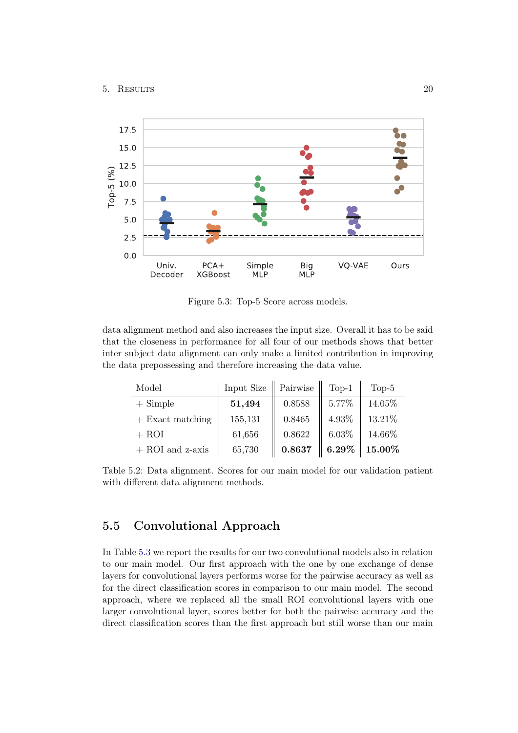

<span id="page-24-1"></span>Figure 5.3: Top-5 Score across models.

data alignment method and also increases the input size. Overall it has to be said that the closeness in performance for all four of our methods shows that better inter subject data alignment can only make a limited contribution in improving the data prepossessing and therefore increasing the data value.

| Model              | Input Size | Pairwise | $Top-1$  | $Top-5$ |
|--------------------|------------|----------|----------|---------|
| $+$ Simple         | 51,494     | 0.8588   | 5.77%    | 14.05%  |
| $+$ Exact matching | 155,131    | 0.8465   | 4.93%    | 13.21%  |
| $+$ ROI            | 61,656     | 0.8622   | 6.03%    | 14.66%  |
| $+$ ROI and z-axis | 65,730     | 0.8637   | $6.29\%$ | 15.00%  |

<span id="page-24-2"></span>Table 5.2: Data alignment. Scores for our main model for our validation patient with different data alignment methods.

## <span id="page-24-0"></span>5.5 Convolutional Approach

In Table [5.3](#page-25-0) we report the results for our two convolutional models also in relation to our main model. Our first approach with the one by one exchange of dense layers for convolutional layers performs worse for the pairwise accuracy as well as for the direct classification scores in comparison to our main model. The second approach, where we replaced all the small ROI convolutional layers with one larger convolutional layer, scores better for both the pairwise accuracy and the direct classification scores than the first approach but still worse than our main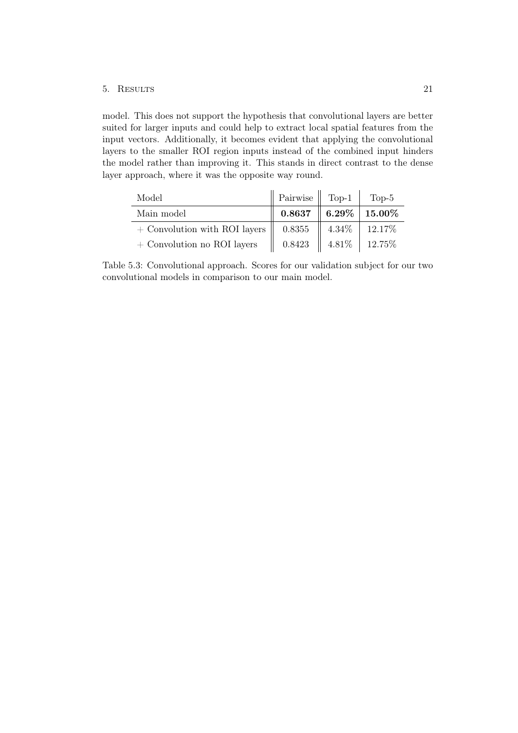#### 5. Results 21

model. This does not support the hypothesis that convolutional layers are better suited for larger inputs and could help to extract local spatial features from the input vectors. Additionally, it becomes evident that applying the convolutional layers to the smaller ROI region inputs instead of the combined input hinders the model rather than improving it. This stands in direct contrast to the dense layer approach, where it was the opposite way round.

| Model                                              | Pairwise    Top-1 |                      | Top-5                |
|----------------------------------------------------|-------------------|----------------------|----------------------|
| Main model                                         | 0.8637            |                      | $6.29\%$   $15.00\%$ |
| $+$ Convolution with ROI layers $\parallel$ 0.8355 |                   | $4.34\%$             | $12.17\%$            |
| $+$ Convolution no ROI layers                      | 0.8423            | $4.81\%$   $12.75\%$ |                      |

<span id="page-25-0"></span>Table 5.3: Convolutional approach. Scores for our validation subject for our two convolutional models in comparison to our main model.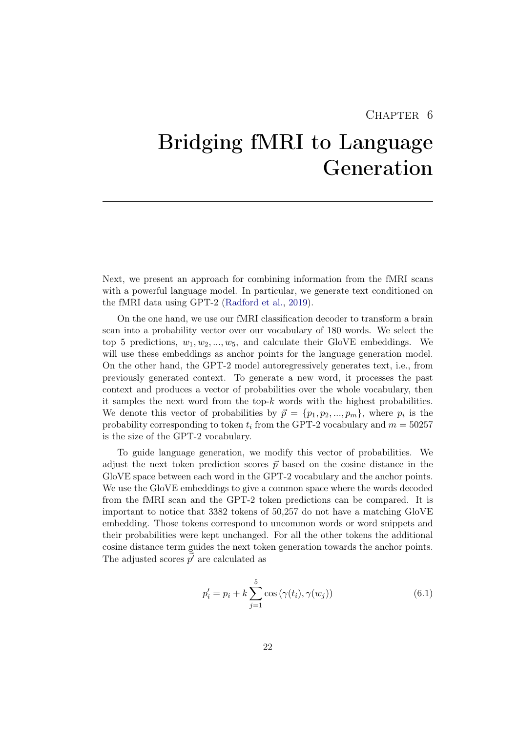## CHAPTER 6

# <span id="page-26-0"></span>Bridging fMRI to Language Generation

Next, we present an approach for combining information from the fMRI scans with a powerful language model. In particular, we generate text conditioned on the fMRI data using GPT-2 [\(Radford et al.,](#page-33-8) [2019\)](#page-33-8).

On the one hand, we use our fMRI classification decoder to transform a brain scan into a probability vector over our vocabulary of 180 words. We select the top 5 predictions,  $w_1, w_2, ..., w_5$ , and calculate their GloVE embeddings. We will use these embeddings as anchor points for the language generation model. On the other hand, the GPT-2 model autoregressively generates text, i.e., from previously generated context. To generate a new word, it processes the past context and produces a vector of probabilities over the whole vocabulary, then it samples the next word from the top-*k* words with the highest probabilities. We denote this vector of probabilities by  $\vec{p} = \{p_1, p_2, ..., p_m\}$ , where  $p_i$  is the probability corresponding to token  $t_i$  from the GPT-2 vocabulary and  $m = 50257$ is the size of the GPT-2 vocabulary.

To guide language generation, we modify this vector of probabilities. We adjust the next token prediction scores  $\vec{p}$  based on the cosine distance in the GloVE space between each word in the GPT-2 vocabulary and the anchor points. We use the GloVE embeddings to give a common space where the words decoded from the fMRI scan and the GPT-2 token predictions can be compared. It is important to notice that 3382 tokens of 50,257 do not have a matching GloVE embedding. Those tokens correspond to uncommon words or word snippets and their probabilities were kept unchanged. For all the other tokens the additional cosine distance term guides the next token generation towards the anchor points. The adjusted scores  $\vec{p'}$  are calculated as

<span id="page-26-1"></span>
$$
p'_{i} = p_{i} + k \sum_{j=1}^{5} \cos(\gamma(t_{i}), \gamma(w_{j}))
$$
\n(6.1)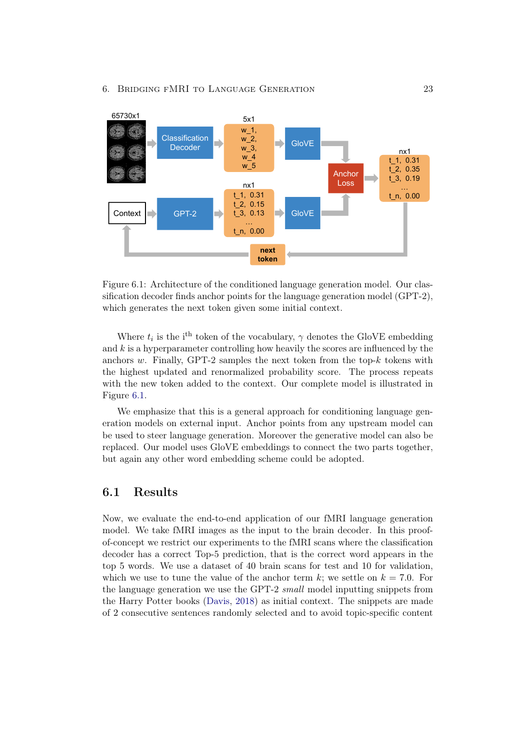

<span id="page-27-1"></span>Figure 6.1: Architecture of the conditioned language generation model. Our classification decoder finds anchor points for the language generation model (GPT-2), which generates the next token given some initial context.

Where  $t_i$  is the i<sup>th</sup> token of the vocabulary,  $\gamma$  denotes the GloVE embedding and *k* is a hyperparameter controlling how heavily the scores are influenced by the anchors *w*. Finally, GPT-2 samples the next token from the top-*k* tokens with the highest updated and renormalized probability score. The process repeats with the new token added to the context. Our complete model is illustrated in Figure [6.1.](#page-27-1)

We emphasize that this is a general approach for conditioning language generation models on external input. Anchor points from any upstream model can be used to steer language generation. Moreover the generative model can also be replaced. Our model uses GloVE embeddings to connect the two parts together, but again any other word embedding scheme could be adopted.

## <span id="page-27-0"></span>6.1 Results

Now, we evaluate the end-to-end application of our fMRI language generation model. We take fMRI images as the input to the brain decoder. In this proofof-concept we restrict our experiments to the fMRI scans where the classification decoder has a correct Top-5 prediction, that is the correct word appears in the top 5 words. We use a dataset of 40 brain scans for test and 10 for validation, which we use to tune the value of the anchor term  $k$ ; we settle on  $k = 7.0$ . For the language generation we use the GPT-2 *small* model inputting snippets from the Harry Potter books [\(Davis,](#page-32-9) [2018\)](#page-32-9) as initial context. The snippets are made of 2 consecutive sentences randomly selected and to avoid topic-specific content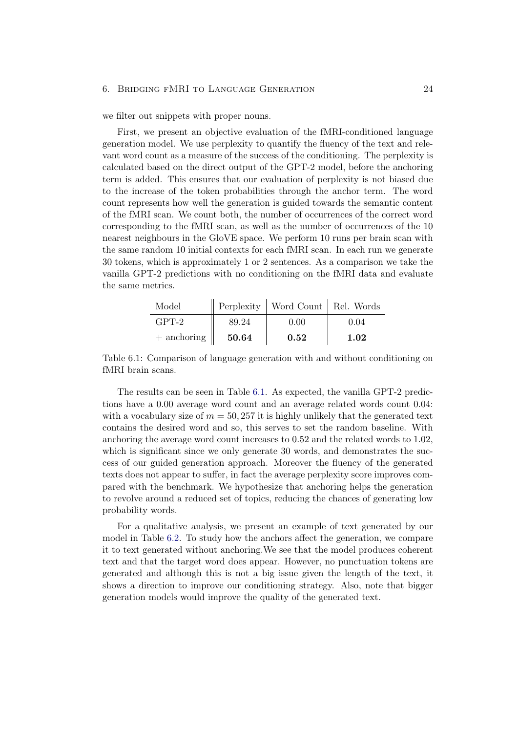#### 6. Bridging fMRI to Language Generation 24

we filter out snippets with proper nouns.

First, we present an objective evaluation of the fMRI-conditioned language generation model. We use perplexity to quantify the fluency of the text and relevant word count as a measure of the success of the conditioning. The perplexity is calculated based on the direct output of the GPT-2 model, before the anchoring term is added. This ensures that our evaluation of perplexity is not biased due to the increase of the token probabilities through the anchor term. The word count represents how well the generation is guided towards the semantic content of the fMRI scan. We count both, the number of occurrences of the correct word corresponding to the fMRI scan, as well as the number of occurrences of the 10 nearest neighbours in the GloVE space. We perform 10 runs per brain scan with the same random 10 initial contexts for each fMRI scan. In each run we generate 30 tokens, which is approximately 1 or 2 sentences. As a comparison we take the vanilla GPT-2 predictions with no conditioning on the fMRI data and evaluate the same metrics.

| Model                     |       | Perplexity   Word Count   Rel. Words |      |
|---------------------------|-------|--------------------------------------|------|
| $GPT-2$                   | 89.24 | 0.00                                 | 0.04 |
| $+$ anchoring $\parallel$ | 50.64 | $\,0.52\,$                           | 1.02 |

<span id="page-28-0"></span>Table 6.1: Comparison of language generation with and without conditioning on fMRI brain scans.

The results can be seen in Table [6.1.](#page-28-0) As expected, the vanilla GPT-2 predictions have a 0*.*00 average word count and an average related words count 0*.*04: with a vocabulary size of  $m = 50,257$  it is highly unlikely that the generated text contains the desired word and so, this serves to set the random baseline. With anchoring the average word count increases to 0*.*52 and the related words to 1*.*02, which is significant since we only generate 30 words, and demonstrates the success of our guided generation approach. Moreover the fluency of the generated texts does not appear to suffer, in fact the average perplexity score improves compared with the benchmark. We hypothesize that anchoring helps the generation to revolve around a reduced set of topics, reducing the chances of generating low probability words.

For a qualitative analysis, we present an example of text generated by our model in Table [6.2.](#page-29-2) To study how the anchors affect the generation, we compare it to text generated without anchoring.We see that the model produces coherent text and that the target word does appear. However, no punctuation tokens are generated and although this is not a big issue given the length of the text, it shows a direction to improve our conditioning strategy. Also, note that bigger generation models would improve the quality of the generated text.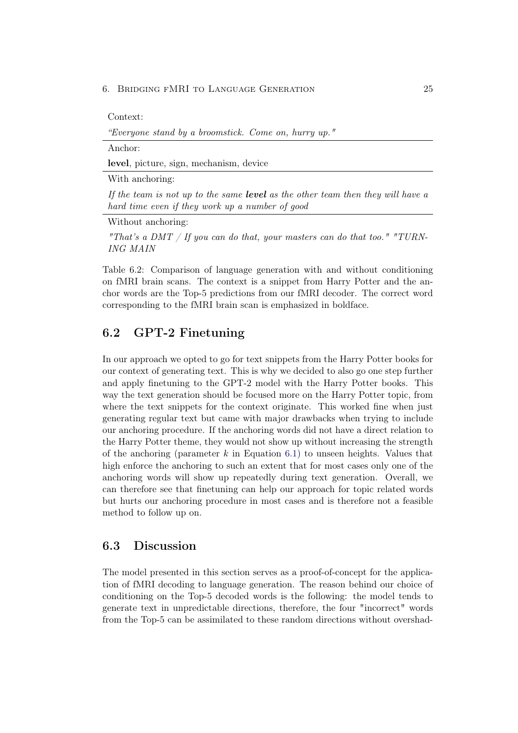#### 6. Bridging fMRI to Language Generation 25

Context:

*"Everyone stand by a broomstick. Come on, hurry up."*

Anchor:

level, picture, sign, mechanism, device

With anchoring:

*If the team is not up to the same level as the other team then they will have a hard time even if they work up a number of good*

Without anchoring:

*"That's a DMT / If you can do that, your masters can do that too." "TURN-ING MAIN*

<span id="page-29-2"></span>Table 6.2: Comparison of language generation with and without conditioning on fMRI brain scans. The context is a snippet from Harry Potter and the anchor words are the Top-5 predictions from our fMRI decoder. The correct word corresponding to the fMRI brain scan is emphasized in boldface.

## <span id="page-29-0"></span>6.2 GPT-2 Finetuning

In our approach we opted to go for text snippets from the Harry Potter books for our context of generating text. This is why we decided to also go one step further and apply finetuning to the GPT-2 model with the Harry Potter books. This way the text generation should be focused more on the Harry Potter topic, from where the text snippets for the context originate. This worked fine when just generating regular text but came with major drawbacks when trying to include our anchoring procedure. If the anchoring words did not have a direct relation to the Harry Potter theme, they would not show up without increasing the strength of the anchoring (parameter *k* in Equation [6.1\)](#page-26-1) to unseen heights. Values that high enforce the anchoring to such an extent that for most cases only one of the anchoring words will show up repeatedly during text generation. Overall, we can therefore see that finetuning can help our approach for topic related words but hurts our anchoring procedure in most cases and is therefore not a feasible method to follow up on.

#### <span id="page-29-1"></span>6.3 Discussion

The model presented in this section serves as a proof-of-concept for the application of fMRI decoding to language generation. The reason behind our choice of conditioning on the Top-5 decoded words is the following: the model tends to generate text in unpredictable directions, therefore, the four "incorrect" words from the Top-5 can be assimilated to these random directions without overshad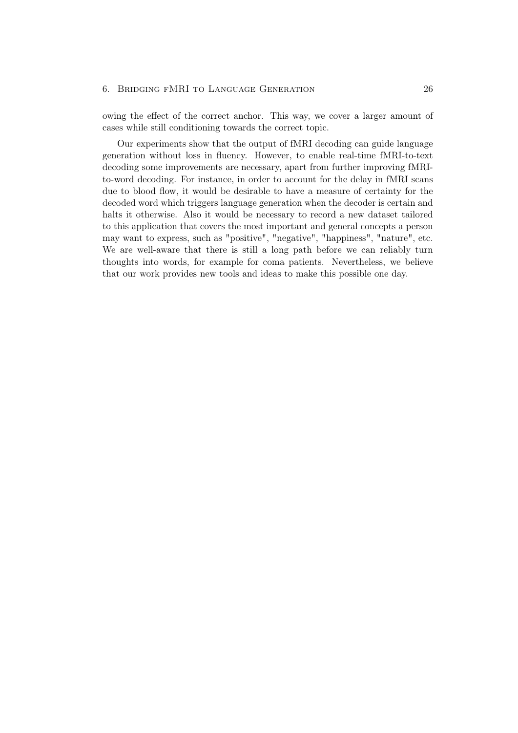owing the effect of the correct anchor. This way, we cover a larger amount of cases while still conditioning towards the correct topic.

Our experiments show that the output of fMRI decoding can guide language generation without loss in fluency. However, to enable real-time fMRI-to-text decoding some improvements are necessary, apart from further improving fMRIto-word decoding. For instance, in order to account for the delay in fMRI scans due to blood flow, it would be desirable to have a measure of certainty for the decoded word which triggers language generation when the decoder is certain and halts it otherwise. Also it would be necessary to record a new dataset tailored to this application that covers the most important and general concepts a person may want to express, such as "positive", "negative", "happiness", "nature", etc. We are well-aware that there is still a long path before we can reliably turn thoughts into words, for example for coma patients. Nevertheless, we believe that our work provides new tools and ideas to make this possible one day.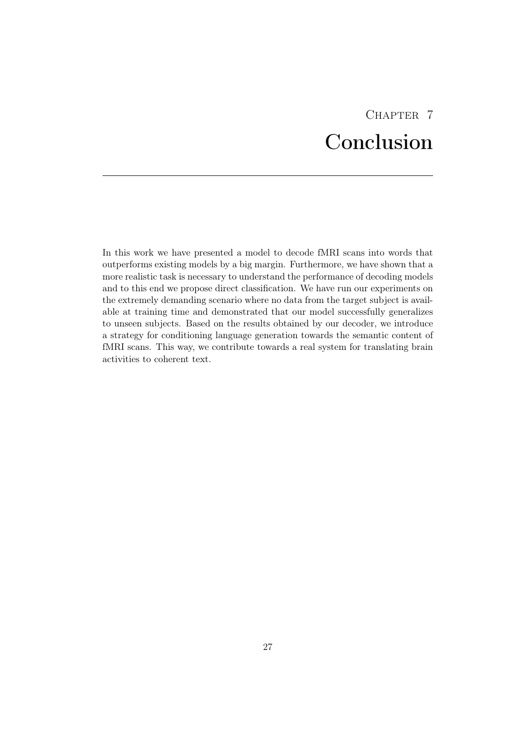# CHAPTER<sub>7</sub> Conclusion

<span id="page-31-0"></span>In this work we have presented a model to decode fMRI scans into words that outperforms existing models by a big margin. Furthermore, we have shown that a more realistic task is necessary to understand the performance of decoding models and to this end we propose direct classification. We have run our experiments on the extremely demanding scenario where no data from the target subject is available at training time and demonstrated that our model successfully generalizes to unseen subjects. Based on the results obtained by our decoder, we introduce a strategy for conditioning language generation towards the semantic content of fMRI scans. This way, we contribute towards a real system for translating brain activities to coherent text.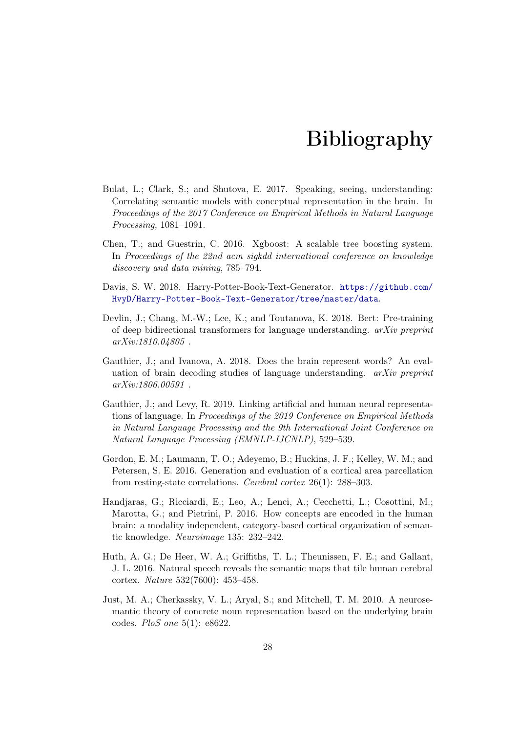# Bibliography

- <span id="page-32-5"></span>Bulat, L.; Clark, S.; and Shutova, E. 2017. Speaking, seeing, understanding: Correlating semantic models with conceptual representation in the brain. In *Proceedings of the 2017 Conference on Empirical Methods in Natural Language Processing*, 1081–1091.
- <span id="page-32-8"></span>Chen, T.; and Guestrin, C. 2016. Xgboost: A scalable tree boosting system. In *Proceedings of the 22nd acm sigkdd international conference on knowledge discovery and data mining*, 785–794.
- <span id="page-32-9"></span>Davis, S. W. 2018. Harry-Potter-Book-Text-Generator. [https://github.com/](https://github.com/HvyD/Harry-Potter-Book-Text-Generator/tree/master/data) [HvyD/Harry-Potter-Book-Text-Generator/tree/master/data](https://github.com/HvyD/Harry-Potter-Book-Text-Generator/tree/master/data).
- <span id="page-32-4"></span>Devlin, J.; Chang, M.-W.; Lee, K.; and Toutanova, K. 2018. Bert: Pre-training of deep bidirectional transformers for language understanding. *arXiv preprint arXiv:1810.04805* .
- <span id="page-32-7"></span>Gauthier, J.; and Ivanova, A. 2018. Does the brain represent words? An evaluation of brain decoding studies of language understanding. *arXiv preprint arXiv:1806.00591* .
- <span id="page-32-3"></span>Gauthier, J.; and Levy, R. 2019. Linking artificial and human neural representations of language. In *Proceedings of the 2019 Conference on Empirical Methods in Natural Language Processing and the 9th International Joint Conference on Natural Language Processing (EMNLP-IJCNLP)*, 529–539.
- <span id="page-32-6"></span>Gordon, E. M.; Laumann, T. O.; Adeyemo, B.; Huckins, J. F.; Kelley, W. M.; and Petersen, S. E. 2016. Generation and evaluation of a cortical area parcellation from resting-state correlations. *Cerebral cortex* 26(1): 288–303.
- <span id="page-32-2"></span>Handjaras, G.; Ricciardi, E.; Leo, A.; Lenci, A.; Cecchetti, L.; Cosottini, M.; Marotta, G.; and Pietrini, P. 2016. How concepts are encoded in the human brain: a modality independent, category-based cortical organization of semantic knowledge. *Neuroimage* 135: 232–242.
- <span id="page-32-1"></span>Huth, A. G.; De Heer, W. A.; Griffiths, T. L.; Theunissen, F. E.; and Gallant, J. L. 2016. Natural speech reveals the semantic maps that tile human cerebral cortex. *Nature* 532(7600): 453–458.
- <span id="page-32-0"></span>Just, M. A.; Cherkassky, V. L.; Aryal, S.; and Mitchell, T. M. 2010. A neurosemantic theory of concrete noun representation based on the underlying brain codes. *PloS one* 5(1): e8622.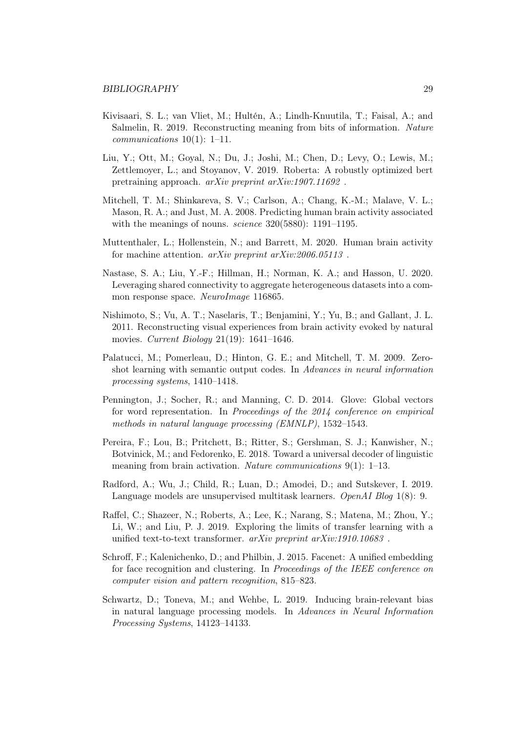- <span id="page-33-4"></span>Kivisaari, S. L.; van Vliet, M.; Hultén, A.; Lindh-Knuutila, T.; Faisal, A.; and Salmelin, R. 2019. Reconstructing meaning from bits of information. *Nature communications* 10(1): 1–11.
- <span id="page-33-6"></span>Liu, Y.; Ott, M.; Goyal, N.; Du, J.; Joshi, M.; Chen, D.; Levy, O.; Lewis, M.; Zettlemoyer, L.; and Stoyanov, V. 2019. Roberta: A robustly optimized bert pretraining approach. *arXiv preprint arXiv:1907.11692* .
- <span id="page-33-1"></span>Mitchell, T. M.; Shinkareva, S. V.; Carlson, A.; Chang, K.-M.; Malave, V. L.; Mason, R. A.; and Just, M. A. 2008. Predicting human brain activity associated with the meanings of nouns. *science* 320(5880): 1191–1195.
- <span id="page-33-9"></span>Muttenthaler, L.; Hollenstein, N.; and Barrett, M. 2020. Human brain activity for machine attention. *arXiv preprint arXiv:2006.05113* .
- <span id="page-33-5"></span>Nastase, S. A.; Liu, Y.-F.; Hillman, H.; Norman, K. A.; and Hasson, U. 2020. Leveraging shared connectivity to aggregate heterogeneous datasets into a common response space. *NeuroImage* 116865.
- <span id="page-33-10"></span>Nishimoto, S.; Vu, A. T.; Naselaris, T.; Benjamini, Y.; Yu, B.; and Gallant, J. L. 2011. Reconstructing visual experiences from brain activity evoked by natural movies. *Current Biology* 21(19): 1641–1646.
- <span id="page-33-2"></span>Palatucci, M.; Pomerleau, D.; Hinton, G. E.; and Mitchell, T. M. 2009. Zeroshot learning with semantic output codes. In *Advances in neural information processing systems*, 1410–1418.
- <span id="page-33-11"></span>Pennington, J.; Socher, R.; and Manning, C. D. 2014. Glove: Global vectors for word representation. In *Proceedings of the 2014 conference on empirical methods in natural language processing (EMNLP)*, 1532–1543.
- <span id="page-33-0"></span>Pereira, F.; Lou, B.; Pritchett, B.; Ritter, S.; Gershman, S. J.; Kanwisher, N.; Botvinick, M.; and Fedorenko, E. 2018. Toward a universal decoder of linguistic meaning from brain activation. *Nature communications* 9(1): 1–13.
- <span id="page-33-8"></span>Radford, A.; Wu, J.; Child, R.; Luan, D.; Amodei, D.; and Sutskever, I. 2019. Language models are unsupervised multitask learners. *OpenAI Blog* 1(8): 9.
- <span id="page-33-7"></span>Raffel, C.; Shazeer, N.; Roberts, A.; Lee, K.; Narang, S.; Matena, M.; Zhou, Y.; Li, W.; and Liu, P. J. 2019. Exploring the limits of transfer learning with a unified text-to-text transformer. *arXiv preprint arXiv:1910.10683* .
- <span id="page-33-12"></span>Schroff, F.; Kalenichenko, D.; and Philbin, J. 2015. Facenet: A unified embedding for face recognition and clustering. In *Proceedings of the IEEE conference on computer vision and pattern recognition*, 815–823.
- <span id="page-33-3"></span>Schwartz, D.; Toneva, M.; and Wehbe, L. 2019. Inducing brain-relevant bias in natural language processing models. In *Advances in Neural Information Processing Systems*, 14123–14133.